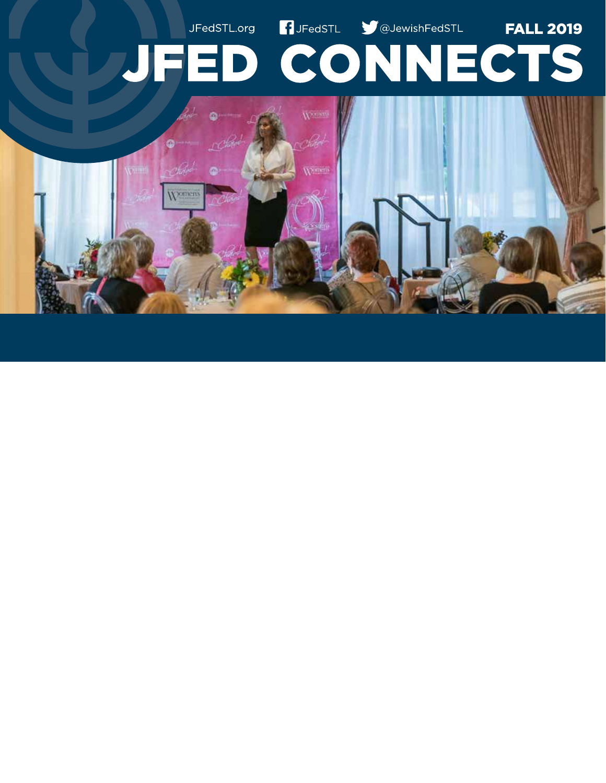# **B**JFedSTL **CO**JewishFedSTL JFedSTL.org **FALL 2019 JFED CONNECTS**

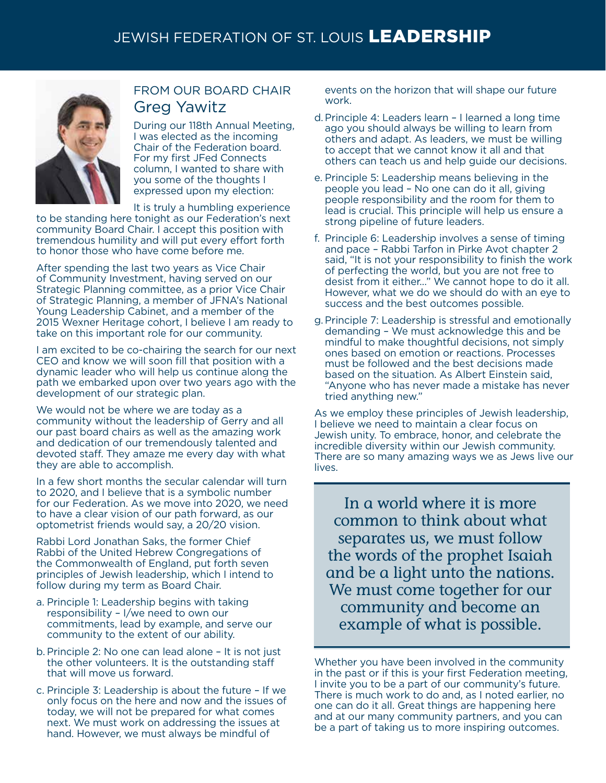

### FROM OUR BOARD CHAIR Greg Yawitz

During our 118th Annual Meeting, I was elected as the incoming Chair of the Federation board. For my first JFed Connects column, I wanted to share with you some of the thoughts I expressed upon my election:

It is truly a humbling experience

to be standing here tonight as our Federation's next community Board Chair. I accept this position with tremendous humility and will put every effort forth to honor those who have come before me.

After spending the last two years as Vice Chair of Community Investment, having served on our Strategic Planning committee, as a prior Vice Chair of Strategic Planning, a member of JFNA's National Young Leadership Cabinet, and a member of the 2015 Wexner Heritage cohort, I believe I am ready to take on this important role for our community.

I am excited to be co-chairing the search for our next CEO and know we will soon fill that position with a dynamic leader who will help us continue along the path we embarked upon over two years ago with the development of our strategic plan.

We would not be where we are today as a community without the leadership of Gerry and all our past board chairs as well as the amazing work and dedication of our tremendously talented and devoted staff. They amaze me every day with what they are able to accomplish.

In a few short months the secular calendar will turn to 2020, and I believe that is a symbolic number for our Federation. As we move into 2020, we need to have a clear vision of our path forward, as our optometrist friends would say, a 20/20 vision.

Rabbi Lord Jonathan Saks, the former Chief Rabbi of the United Hebrew Congregations of the Commonwealth of England, put forth seven principles of Jewish leadership, which I intend to follow during my term as Board Chair.

- a. Principle 1: Leadership begins with taking responsibility – I/we need to own our commitments, lead by example, and serve our community to the extent of our ability.
- b. Principle 2: No one can lead alone It is not just the other volunteers. It is the outstanding staff that will move us forward.
- c. Principle 3: Leadership is about the future If we only focus on the here and now and the issues of today, we will not be prepared for what comes next. We must work on addressing the issues at hand. However, we must always be mindful of

events on the horizon that will shape our future work.

- d.Principle 4: Leaders learn I learned a long time ago you should always be willing to learn from others and adapt. As leaders, we must be willing to accept that we cannot know it all and that others can teach us and help guide our decisions.
- e. Principle 5: Leadership means believing in the people you lead – No one can do it all, giving people responsibility and the room for them to lead is crucial. This principle will help us ensure a strong pipeline of future leaders.
- f. Principle 6: Leadership involves a sense of timing and pace – Rabbi Tarfon in Pirke Avot chapter 2 said, "It is not your responsibility to finish the work of perfecting the world, but you are not free to desist from it either..." We cannot hope to do it all. However, what we do we should do with an eye to success and the best outcomes possible.
- g.Principle 7: Leadership is stressful and emotionally demanding – We must acknowledge this and be mindful to make thoughtful decisions, not simply ones based on emotion or reactions. Processes must be followed and the best decisions made based on the situation. As Albert Einstein said, "Anyone who has never made a mistake has never tried anything new."

As we employ these principles of Jewish leadership, I believe we need to maintain a clear focus on Jewish unity. To embrace, honor, and celebrate the incredible diversity within our Jewish community. There are so many amazing ways we as Jews live our lives.

In a world where it is more common to think about what separates us, we must follow the words of the prophet Isaiah and be a light unto the nations. We must come together for our community and become an example of what is possible.

Whether you have been involved in the community in the past or if this is your first Federation meeting, I invite you to be a part of our community's future. There is much work to do and, as I noted earlier, no one can do it all. Great things are happening here and at our many community partners, and you can be a part of taking us to more inspiring outcomes.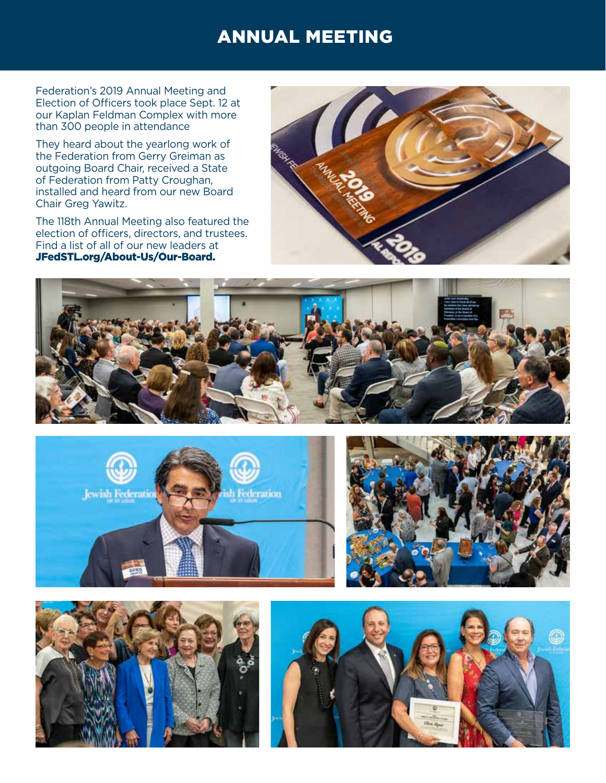### ANNUAL MEETING

Federation's 2019 Annual Meeting and Election of Officers took place Sept. 12 at our Kaplan Feldman Complex with more than 300 people in attendance

They heard about the yearlong work of the Federation from Gerry Greiman as outgoing Board Chair, received a State of Federation from Patty Croughan, installed and heard from our new Board Chair Greg Yawitz.

The 118th Annual Meeting also featured the election of officers, directors, and trustees. Find a list of all of our new leaders at JFedSTL.org/About-Us/Our-Board.











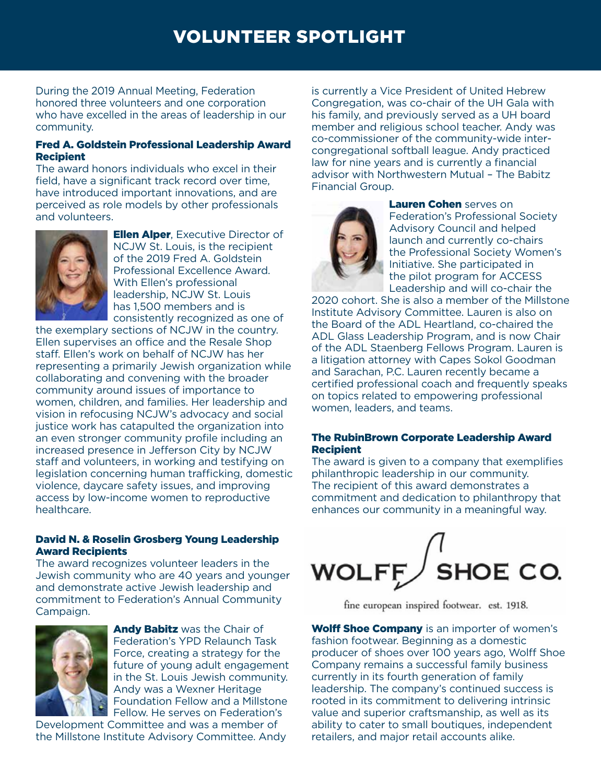# VOLUNTEER SPOTLIGHT

During the 2019 Annual Meeting, Federation honored three volunteers and one corporation who have excelled in the areas of leadership in our community.

### Fred A. Goldstein Professional Leadership Award Recipient

The award honors individuals who excel in their field, have a significant track record over time, have introduced important innovations, and are perceived as role models by other professionals and volunteers.



**Ellen Alper, Executive Director of** NCJW St. Louis, is the recipient of the 2019 Fred A. Goldstein Professional Excellence Award. With Ellen's professional leadership, NCJW St. Louis has 1,500 members and is consistently recognized as one of

the exemplary sections of NCJW in the country. Ellen supervises an office and the Resale Shop staff. Ellen's work on behalf of NCJW has her representing a primarily Jewish organization while collaborating and convening with the broader community around issues of importance to women, children, and families. Her leadership and vision in refocusing NCJW's advocacy and social justice work has catapulted the organization into an even stronger community profile including an increased presence in Jefferson City by NCJW staff and volunteers, in working and testifying on legislation concerning human trafficking, domestic violence, daycare safety issues, and improving access by low-income women to reproductive healthcare.

### David N. & Roselin Grosberg Young Leadership Award Recipients

The award recognizes volunteer leaders in the Jewish community who are 40 years and younger and demonstrate active Jewish leadership and commitment to Federation's Annual Community Campaign.



Andy Babitz was the Chair of Federation's YPD Relaunch Task Force, creating a strategy for the future of young adult engagement in the St. Louis Jewish community. Andy was a Wexner Heritage Foundation Fellow and a Millstone Fellow. He serves on Federation's

Development Committee and was a member of the Millstone Institute Advisory Committee. Andy is currently a Vice President of United Hebrew Congregation, was co-chair of the UH Gala with his family, and previously served as a UH board member and religious school teacher. Andy was co-commissioner of the community-wide intercongregational softball league. Andy practiced law for nine years and is currently a financial advisor with Northwestern Mutual – The Babitz Financial Group.



Lauren Cohen serves on Federation's Professional Society Advisory Council and helped launch and currently co-chairs the Professional Society Women's Initiative. She participated in the pilot program for ACCESS Leadership and will co-chair the

2020 cohort. She is also a member of the Millstone Institute Advisory Committee. Lauren is also on the Board of the ADL Heartland, co-chaired the ADL Glass Leadership Program, and is now Chair of the ADL Staenberg Fellows Program. Lauren is a litigation attorney with Capes Sokol Goodman and Sarachan, P.C. Lauren recently became a certified professional coach and frequently speaks on topics related to empowering professional women, leaders, and teams.

### The RubinBrown Corporate Leadership Award **Recipient**

The award is given to a company that exemplifies philanthropic leadership in our community. The recipient of this award demonstrates a commitment and dedication to philanthropy that enhances our community in a meaningful way.



fine european inspired footwear. est. 1918.

**Wolff Shoe Company** is an importer of women's fashion footwear. Beginning as a domestic producer of shoes over 100 years ago, Wolff Shoe Company remains a successful family business currently in its fourth generation of family leadership. The company's continued success is rooted in its commitment to delivering intrinsic value and superior craftsmanship, as well as its ability to cater to small boutiques, independent retailers, and major retail accounts alike.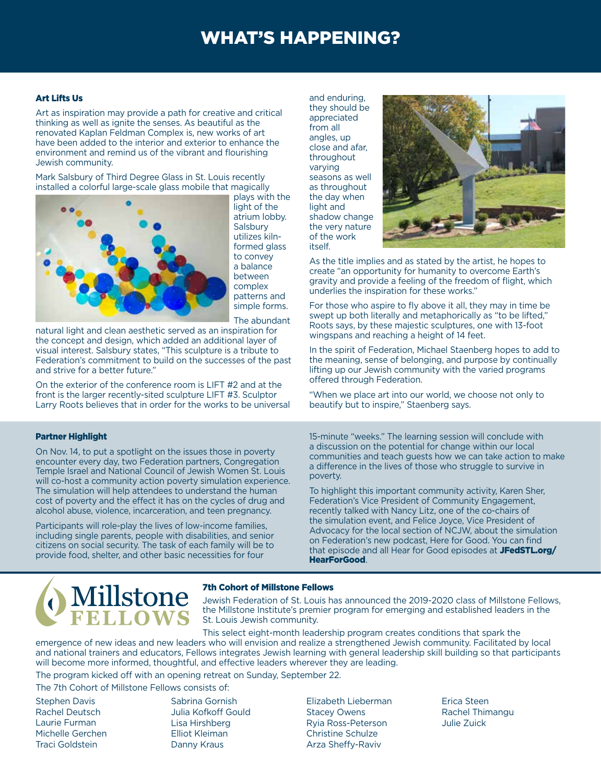# WHAT'S HAPPENING?

#### Art Lifts Us

Art as inspiration may provide a path for creative and critical thinking as well as ignite the senses. As beautiful as the renovated Kaplan Feldman Complex is, new works of art have been added to the interior and exterior to enhance the environment and remind us of the vibrant and flourishing Jewish community.

Mark Salsbury of Third Degree Glass in St. Louis recently installed a colorful large-scale glass mobile that magically



plays with the light of the atrium lobby. **Salsbury** utilizes kilnformed glass to convey a balance between complex patterns and simple forms.

The abundant

natural light and clean aesthetic served as an inspiration for the concept and design, which added an additional layer of visual interest. Salsbury states, "This sculpture is a tribute to Federation's commitment to build on the successes of the past and strive for a better future."

On the exterior of the conference room is LIFT #2 and at the front is the larger recently-sited sculpture LIFT #3. Sculptor Larry Roots believes that in order for the works to be universal

#### Partner Highlight

On Nov. 14, to put a spotlight on the issues those in poverty encounter every day, two Federation partners, Congregation Temple Israel and National Council of Jewish Women St. Louis will co-host a community action poverty simulation experience. The simulation will help attendees to understand the human cost of poverty and the effect it has on the cycles of drug and alcohol abuse, violence, incarceration, and teen pregnancy.

Participants will role-play the lives of low-income families, including single parents, people with disabilities, and senior citizens on social security. The task of each family will be to provide food, shelter, and other basic necessities for four

and enduring, they should be appreciated from all angles, up close and afar, throughout varying seasons as well as throughout the day when light and shadow change the very nature of the work itself.



As the title implies and as stated by the artist, he hopes to create "an opportunity for humanity to overcome Earth's gravity and provide a feeling of the freedom of flight, which underlies the inspiration for these works."

For those who aspire to fly above it all, they may in time be swept up both literally and metaphorically as "to be lifted," Roots says, by these majestic sculptures, one with 13-foot wingspans and reaching a height of 14 feet.

In the spirit of Federation, Michael Staenberg hopes to add to the meaning, sense of belonging, and purpose by continually lifting up our Jewish community with the varied programs offered through Federation.

"When we place art into our world, we choose not only to beautify but to inspire," Staenberg says.

15-minute "weeks." The learning session will conclude with a discussion on the potential for change within our local communities and teach guests how we can take action to make a difference in the lives of those who struggle to survive in poverty.

To highlight this important community activity, Karen Sher, Federation's Vice President of Community Engagement, recently talked with Nancy Litz, one of the co-chairs of the simulation event, and Felice Joyce, Vice President of Advocacy for the local section of NCJW, about the simulation on Federation's new podcast, Here for Good. You can find that episode and all Hear for Good episodes at JFedSTL.org/ HearForGood.



#### 7th Cohort of Millstone Fellows

Jewish Federation of St. Louis has announced the 2019-2020 class of Millstone Fellows, the Millstone Institute's premier program for emerging and established leaders in the St. Louis Jewish community.

This select eight-month leadership program creates conditions that spark the emergence of new ideas and new leaders who will envision and realize a strengthened Jewish community. Facilitated by local and national trainers and educators, Fellows integrates Jewish learning with general leadership skill building so that participants will become more informed, thoughtful, and effective leaders wherever they are leading.

The program kicked off with an opening retreat on Sunday, September 22.

The 7th Cohort of Millstone Fellows consists of:

- Stephen Davis Rachel Deutsch Laurie Furman Michelle Gerchen Traci Goldstein
- Sabrina Gornish Julia Kofkoff Gould Lisa Hirshberg Elliot Kleiman Danny Kraus

Elizabeth Lieberman Stacey Owens Ryia Ross-Peterson Christine Schulze Arza Sheffy-Raviv

Erica Steen Rachel Thimangu Julie Zuick